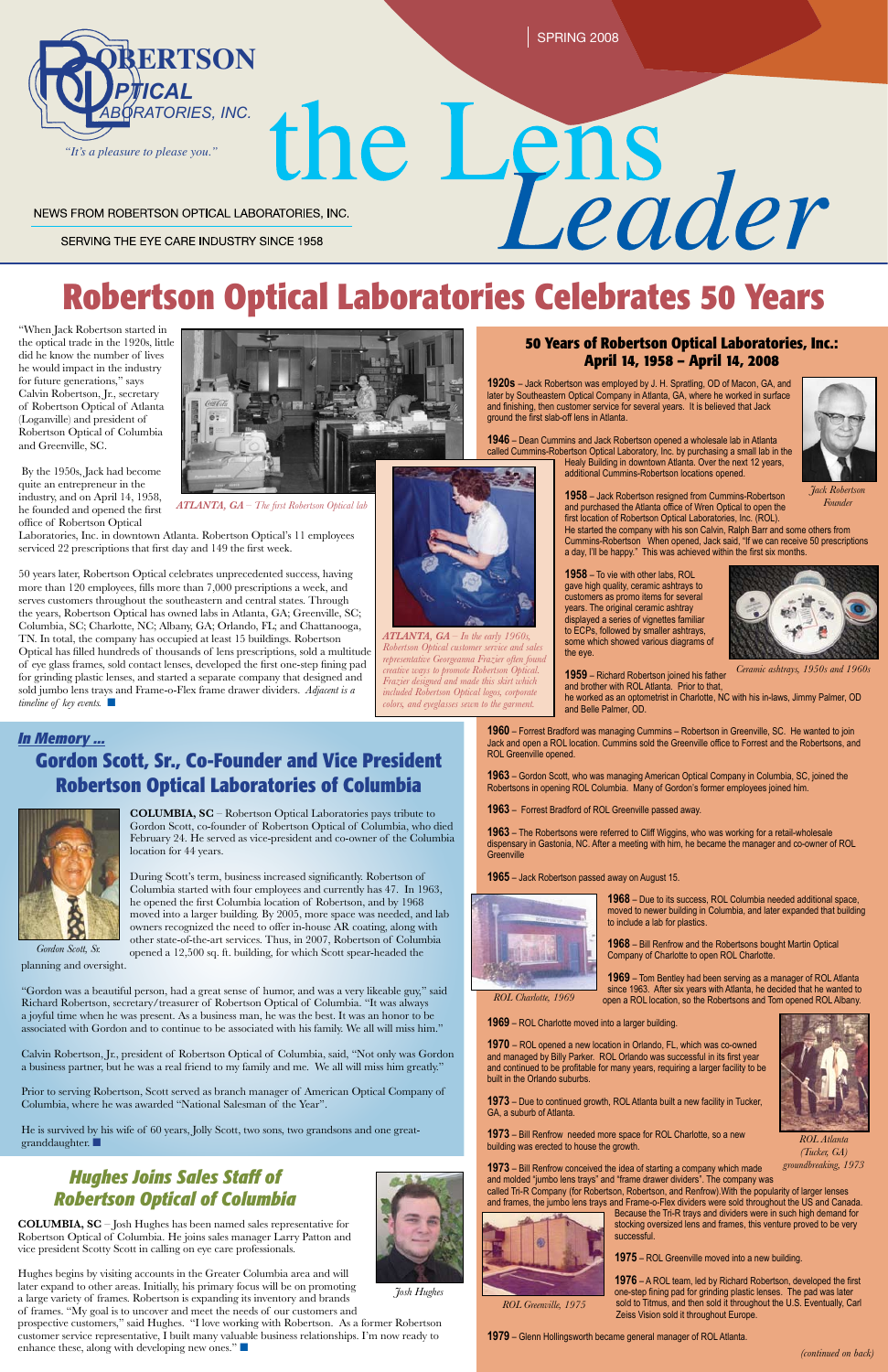SPRING 2008

# the Lens<br>
Leader NEWS FROM ROBERTSON OPTICAL LABORATORIES, INC.

SERVING THE EYE CARE INDUSTRY SINCE 1958

# **Robertson Optical Laboratories Celebrates 50 Years**

"When Jack Robertson started in the optical trade in the 1920s, little did he know the number of lives he would impact in the industry for future generations," says Calvin Robertson, Jr., secretary of Robertson Optical of Atlanta (Loganville) and president of Robertson Optical of Columbia and Greenville, SC.

50 years later, Robertson Optical celebrates unprecedented success, having more than 120 employees, fills more than 7,000 prescriptions a week, and serves customers throughout the southeastern and central states. Through the years, Robertson Optical has owned labs in Atlanta, GA; Greenville, SC; Columbia, SC; Charlotte, NC; Albany, GA; Orlando, FL; and Chattanooga, TN. In total, the company has occupied at least 15 buildings. Robertson Optical has filled hundreds of thousands of lens prescriptions, sold a multitude of eye glass frames, sold contact lenses, developed the first one-step fining pad for grinding plastic lenses, and started a separate company that designed and sold jumbo lens trays and Frame-o-Flex frame drawer dividers. *Adjacent is a timeline of key events.* 



 By the 1950s, Jack had become quite an entrepreneur in the industry, and on April 14, 1958, he founded and opened the first office of Robertson Optical

Laboratories, Inc. in downtown Atlanta. Robertson Optical's 11 employees serviced 22 prescriptions that first day and 149 the first week.

Hughes begins by visiting accounts in the Greater Columbia area and will later expand to other areas. Initially, his primary focus will be on promoting a large variety of frames. Robertson is expanding its inventory and brands of frames. "My goal is to uncover and meet the needs of our customers and prospective customers," said Hughes. "I love working with Robertson. As a former Robertson customer service representative, I built many valuable business relationships. I'm now ready to enhance these, along with developing new ones." $\blacksquare$ 

*(continued on back)*



## *Hughes Joins Sales Staff of Robertson Optical of Columbia*

**COLUMBIA, SC** – Josh Hughes has been named sales representative for Robertson Optical of Columbia. He joins sales manager Larry Patton and vice president Scotty Scott in calling on eye care professionals.

**1963** – The Robertsons were referred to Cliff Wiggins, who was working for a retail-wholesale dispensary in Gastonia, NC. After a meeting with him, he became the manager and co-owner of ROL **Greenville** 



*Josh Hughes*

*ATLANTA, GA – The first Robertson Optical lab*

**1920s** – Jack Robertson was employed by J. H. Spratling, OD of Macon, GA, and later by Southeastern Optical Company in Atlanta, GA, where he worked in surface and finishing, then customer service for several years. It is believed that Jack ground the first slab-off lens in Atlanta.

**1946** – Dean Cummins and Jack Robertson opened a wholesale lab in Atlanta called Cummins-Robertson Optical Laboratory, Inc. by purchasing a small lab in the Healy Building in downtown Atlanta. Over the next 12 years,

additional Cummins-Robertson locations opened.

a day, I'll be happy." This was achieved within the first six months.

**1958** – To vie with other labs, ROL gave high quality, ceramic ashtrays to customers as promo items for several years. The original ceramic ashtray displayed a series of vignettes familiar to ECPs, followed by smaller ashtrays, some which showed various diagrams of the eye.

**1959** – Richard Robertson joined his father

and brother with ROL Atlanta. Prior to that, he worked as an optometrist in Charlotte, NC with his in-laws, Jimmy Palmer, OD and Belle Palmer, OD.

He is survived by his wife of 60 years, Jolly Scott, two sons, two grandsons and one greatgranddaughter.  $\blacksquare$ 

**1960** – Forrest Bradford was managing Cummins – Robertson in Greenville, SC. He wanted to join Jack and open a ROL location. Cummins sold the Greenville office to Forrest and the Robertsons, and ROL Greenville opened.

**1963** – Gordon Scott, who was managing American Optical Company in Columbia, SC, joined the Robertsons in opening ROL Columbia. Many of Gordon's former employees joined him.

**1963** – Forrest Bradford of ROL Greenville passed away.

**1965** – Jack Robertson passed away on August 15.



**1968** – Due to its success, ROL Columbia needed additional space, moved to newer building in Columbia, and later expanded that building to include a lab for plastics.

**1968** – Bill Renfrow and the Robertsons bought Martin Optical Company of Charlotte to open ROL Charlotte.

**1969** – Tom Bentley had been serving as a manager of ROL Atlanta since 1963. After six years with Atlanta, he decided that he wanted to open a ROL location, so the Robertsons and Tom opened ROL Albany.

**1969** – ROL Charlotte moved into a larger building.

**1970** – ROL opened a new location in Orlando, FL, which was co-owned and managed by Billy Parker. ROL Orlando was successful in its first year and continued to be profitable for many years, requiring a larger facility to be built in the Orlando suburbs.

**1973** – Due to continued growth, ROL Atlanta built a new facility in Tucker, GA, a suburb of Atlanta.

**1973** – Bill Renfrow needed more space for ROL Charlotte, so a new building was erected to house the growth.



**1958** – Jack Robertson resigned from Cummins-Robertson and purchased the Atlanta office of Wren Optical to open the first location of Robertson Optical Laboratories, Inc. (ROL). He started the company with his son Calvin, Ralph Barr and some others from Cummins-Robertson When opened, Jack said, "If we can receive 50 prescriptions *Founder*

**1973** – Bill Renfrow conceived the idea of starting a company which made and molded "jumbo lens trays" and "frame drawer dividers". The company was called Tri-R Company (for Robertson, Robertson, and Renfrow).With the popularity of larger lenses and frames, the jumbo lens trays and Frame-o-Flex dividers were sold throughout the US and Canada.



Because the Tri-R trays and dividers were in such high demand for stocking oversized lens and frames, this venture proved to be very successful.

**1975** – ROL Greenville moved into a new building.

**1976** – A ROL team, led by Richard Robertson, developed the first one-step fining pad for grinding plastic lenses. The pad was later sold to Titmus, and then sold it throughout the U.S. Eventually, Carl Zeiss Vision sold it throughout Europe.

**1979** – Glenn Hollingsworth became general manager of ROL Atlanta.

**COLUMBIA, SC** – Robertson Optical Laboratories pays tribute to Gordon Scott, co-founder of Robertson Optical of Columbia, who died February 24. He served as vice-president and co-owner of the Columbia location for 44 years.

During Scott's term, business increased significantly. Robertson of Columbia started with four employees and currently has 47. In 1963, he opened the first Columbia location of Robertson, and by 1968 moved into a larger building. By 2005, more space was needed, and lab owners recognized the need to offer in-house AR coating, along with other state-of-the-art services. Thus, in 2007, Robertson of Columbia opened a 12,500 sq. ft. building, for which Scott spear-headed the

planning and oversight.

"Gordon was a beautiful person, had a great sense of humor, and was a very likeable guy," said Richard Robertson, secretary/treasurer of Robertson Optical of Columbia. "It was always a joyful time when he was present. As a business man, he was the best. It was an honor to be associated with Gordon and to continue to be associated with his family. We all will miss him."

Calvin Robertson, Jr., president of Robertson Optical of Columbia, said, "Not only was Gordon a business partner, but he was a real friend to my family and me. We all will miss him greatly."

Prior to serving Robertson, Scott served as branch manager of American Optical Company of Columbia, where he was awarded "National Salesman of the Year".

### *In Memory ...*

# **Gordon Scott, Sr., Co-Founder and Vice President Robertson Optical Laboratories of Columbia**

#### **50 Years of Robertson Optical Laboratories, Inc.: April 14, 1958 – April 14, 2008**



*Jack Robertson*



*Ceramic ashtrays, 1950s and 1960s*

*ROL Charlotte, 1969*

*ROL Atlanta (Tucker, GA) groundbreaking, 1973*





*ATLANTA, GA – In the early 1960s, Robertson Optical customer service and sales representative Georgeanna Frazier often found creative ways to promote Robertson Optical. Frazier designed and made this skirt which included Robertson Optical logos, corporate colors, and eyeglasses sewn to the garment.*

*ROL Greenville, 1975*